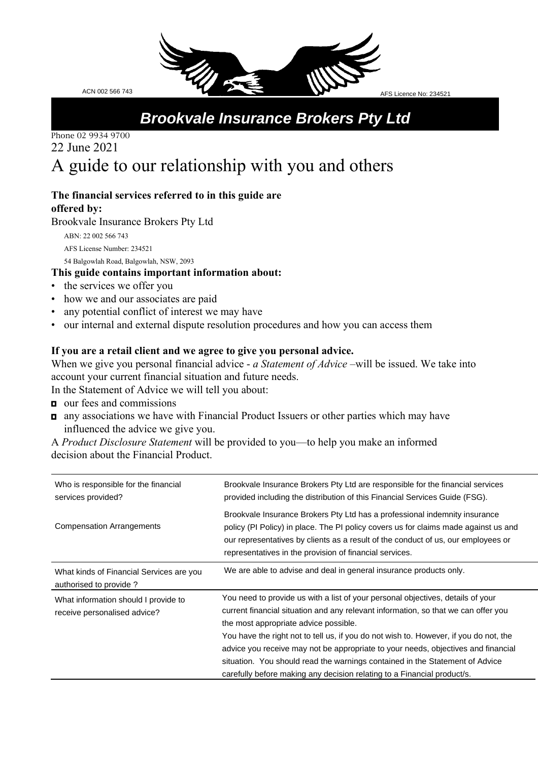*Brookvale Insurance Brokers Pty Ltd*

# Phone 02 9934 9700 22 June 2021 A guide to our relationship with you and others

#### **The financial services referred to in this guide are offered by:**

Brookvale Insurance Brokers Pty Ltd

ABN: 22 002 566 743 AFS License Number: 234521 54 Balgowlah Road, Balgowlah, NSW, 2093

## **This guide contains important information about:**

- the services we offer you
- how we and our associates are paid
- any potential conflict of interest we may have
- our internal and external dispute resolution procedures and how you can access them

#### **If you are a retail client and we agree to give you personal advice.**

When we give you personal financial advice - *a Statement of Advice* –will be issued. We take into account your current financial situation and future needs.

In the Statement of Advice we will tell you about:

- our fees and commissions
- $\blacksquare$  any associations we have with Financial Product Issuers or other parties which may have influenced the advice we give you.

A *Product Disclosure Statement* will be provided to you—to help you make an informed decision about the Financial Product.

| Who is responsible for the financial<br>services provided?           | Brookvale Insurance Brokers Pty Ltd are responsible for the financial services<br>provided including the distribution of this Financial Services Guide (FSG).                                                                                                                                                                                                                                                                                                                                                                                           |
|----------------------------------------------------------------------|---------------------------------------------------------------------------------------------------------------------------------------------------------------------------------------------------------------------------------------------------------------------------------------------------------------------------------------------------------------------------------------------------------------------------------------------------------------------------------------------------------------------------------------------------------|
| <b>Compensation Arrangements</b>                                     | Brookvale Insurance Brokers Pty Ltd has a professional indemnity insurance<br>policy (PI Policy) in place. The PI policy covers us for claims made against us and<br>our representatives by clients as a result of the conduct of us, our employees or<br>representatives in the provision of financial services.                                                                                                                                                                                                                                       |
| What kinds of Financial Services are you<br>authorised to provide?   | We are able to advise and deal in general insurance products only.                                                                                                                                                                                                                                                                                                                                                                                                                                                                                      |
| What information should I provide to<br>receive personalised advice? | You need to provide us with a list of your personal objectives, details of your<br>current financial situation and any relevant information, so that we can offer you<br>the most appropriate advice possible.<br>You have the right not to tell us, if you do not wish to. However, if you do not, the<br>advice you receive may not be appropriate to your needs, objectives and financial<br>situation. You should read the warnings contained in the Statement of Advice<br>carefully before making any decision relating to a Financial product/s. |

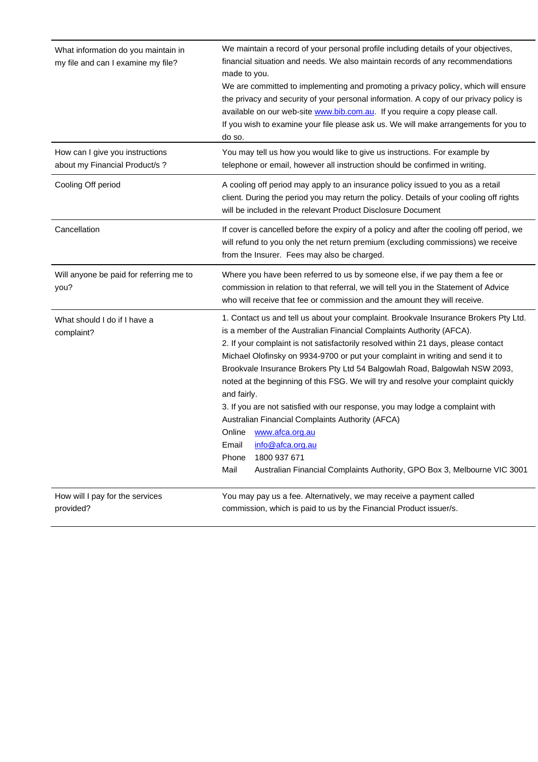| What information do you maintain in<br>my file and can I examine my file? | We maintain a record of your personal profile including details of your objectives,<br>financial situation and needs. We also maintain records of any recommendations<br>made to you.<br>We are committed to implementing and promoting a privacy policy, which will ensure<br>the privacy and security of your personal information. A copy of our privacy policy is<br>available on our web-site www.bib.com.au. If you require a copy please call.<br>If you wish to examine your file please ask us. We will make arrangements for you to<br>do so.                                                                                                                                                                                                                                                                             |
|---------------------------------------------------------------------------|-------------------------------------------------------------------------------------------------------------------------------------------------------------------------------------------------------------------------------------------------------------------------------------------------------------------------------------------------------------------------------------------------------------------------------------------------------------------------------------------------------------------------------------------------------------------------------------------------------------------------------------------------------------------------------------------------------------------------------------------------------------------------------------------------------------------------------------|
| How can I give you instructions<br>about my Financial Product/s?          | You may tell us how you would like to give us instructions. For example by<br>telephone or email, however all instruction should be confirmed in writing.                                                                                                                                                                                                                                                                                                                                                                                                                                                                                                                                                                                                                                                                           |
| Cooling Off period                                                        | A cooling off period may apply to an insurance policy issued to you as a retail<br>client. During the period you may return the policy. Details of your cooling off rights<br>will be included in the relevant Product Disclosure Document                                                                                                                                                                                                                                                                                                                                                                                                                                                                                                                                                                                          |
| Cancellation                                                              | If cover is cancelled before the expiry of a policy and after the cooling off period, we<br>will refund to you only the net return premium (excluding commissions) we receive<br>from the Insurer. Fees may also be charged.                                                                                                                                                                                                                                                                                                                                                                                                                                                                                                                                                                                                        |
| Will anyone be paid for referring me to<br>you?                           | Where you have been referred to us by someone else, if we pay them a fee or<br>commission in relation to that referral, we will tell you in the Statement of Advice<br>who will receive that fee or commission and the amount they will receive.                                                                                                                                                                                                                                                                                                                                                                                                                                                                                                                                                                                    |
| What should I do if I have a<br>complaint?                                | 1. Contact us and tell us about your complaint. Brookvale Insurance Brokers Pty Ltd.<br>is a member of the Australian Financial Complaints Authority (AFCA).<br>2. If your complaint is not satisfactorily resolved within 21 days, please contact<br>Michael Olofinsky on 9934-9700 or put your complaint in writing and send it to<br>Brookvale Insurance Brokers Pty Ltd 54 Balgowlah Road, Balgowlah NSW 2093,<br>noted at the beginning of this FSG. We will try and resolve your complaint quickly<br>and fairly.<br>3. If you are not satisfied with our response, you may lodge a complaint with<br>Australian Financial Complaints Authority (AFCA)<br>www.afca.org.au<br>Online<br>info@afca.org.au<br>Email<br>1800 937 671<br>Phone<br>Mail<br>Australian Financial Complaints Authority, GPO Box 3, Melbourne VIC 3001 |
| How will I pay for the services<br>provided?                              | You may pay us a fee. Alternatively, we may receive a payment called<br>commission, which is paid to us by the Financial Product issuer/s.                                                                                                                                                                                                                                                                                                                                                                                                                                                                                                                                                                                                                                                                                          |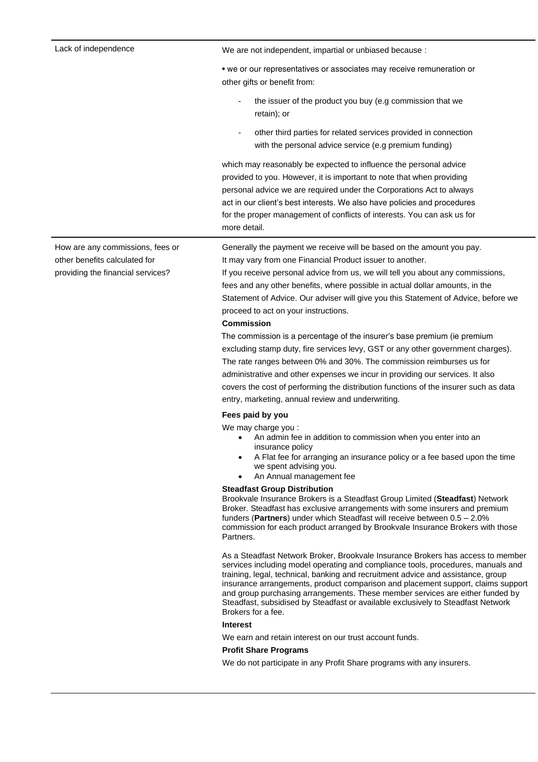| • we or our representatives or associates may receive remuneration or                                                                                                                                                                                                                                                                                                                                                                                                                                                                                                                                                                                                                                                                                                                                                                                                                                                                                                                          |
|------------------------------------------------------------------------------------------------------------------------------------------------------------------------------------------------------------------------------------------------------------------------------------------------------------------------------------------------------------------------------------------------------------------------------------------------------------------------------------------------------------------------------------------------------------------------------------------------------------------------------------------------------------------------------------------------------------------------------------------------------------------------------------------------------------------------------------------------------------------------------------------------------------------------------------------------------------------------------------------------|
|                                                                                                                                                                                                                                                                                                                                                                                                                                                                                                                                                                                                                                                                                                                                                                                                                                                                                                                                                                                                |
| the issuer of the product you buy (e.g commission that we                                                                                                                                                                                                                                                                                                                                                                                                                                                                                                                                                                                                                                                                                                                                                                                                                                                                                                                                      |
| other third parties for related services provided in connection<br>with the personal advice service (e.g premium funding)                                                                                                                                                                                                                                                                                                                                                                                                                                                                                                                                                                                                                                                                                                                                                                                                                                                                      |
| which may reasonably be expected to influence the personal advice<br>provided to you. However, it is important to note that when providing<br>personal advice we are required under the Corporations Act to always<br>act in our client's best interests. We also have policies and procedures<br>for the proper management of conflicts of interests. You can ask us for                                                                                                                                                                                                                                                                                                                                                                                                                                                                                                                                                                                                                      |
| Generally the payment we receive will be based on the amount you pay.<br>If you receive personal advice from us, we will tell you about any commissions,<br>fees and any other benefits, where possible in actual dollar amounts, in the<br>Statement of Advice. Our adviser will give you this Statement of Advice, before we<br>The commission is a percentage of the insurer's base premium (ie premium<br>excluding stamp duty, fire services levy, GST or any other government charges).<br>The rate ranges between 0% and 30%. The commission reimburses us for<br>administrative and other expenses we incur in providing our services. It also<br>covers the cost of performing the distribution functions of the insurer such as data                                                                                                                                                                                                                                                 |
| An admin fee in addition to commission when you enter into an<br>A Flat fee for arranging an insurance policy or a fee based upon the time<br>Brookvale Insurance Brokers is a Steadfast Group Limited (Steadfast) Network<br>Broker. Steadfast has exclusive arrangements with some insurers and premium<br>funders (Partners) under which Steadfast will receive between $0.5 - 2.0\%$<br>commission for each product arranged by Brookvale Insurance Brokers with those<br>As a Steadfast Network Broker, Brookvale Insurance Brokers has access to member<br>services including model operating and compliance tools, procedures, manuals and<br>training, legal, technical, banking and recruitment advice and assistance, group<br>insurance arrangements, product comparison and placement support, claims support<br>and group purchasing arrangements. These member services are either funded by<br>Steadfast, subsidised by Steadfast or available exclusively to Steadfast Network |
|                                                                                                                                                                                                                                                                                                                                                                                                                                                                                                                                                                                                                                                                                                                                                                                                                                                                                                                                                                                                |

#### **Interest**

We earn and retain interest on our trust account funds.

## **Profit Share Programs**

We do not participate in any Profit Share programs with any insurers.